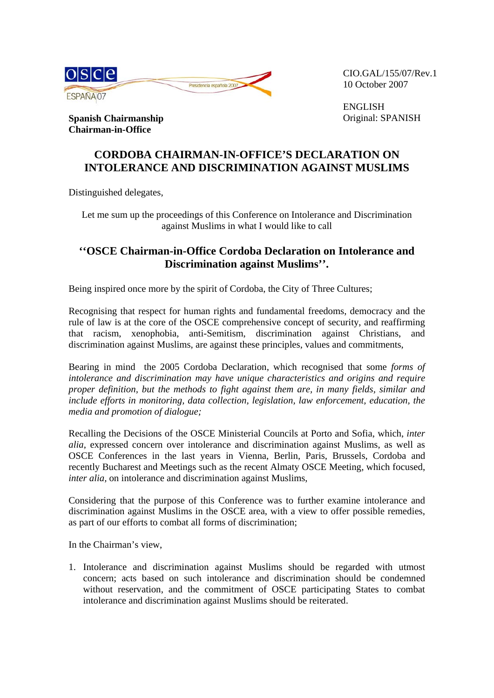

CIO.GAL/155/07/Rev.1 10 October 2007

ENGLISH Original: SPANISH

**Spanish Chairmanship Chairman-in-Office** 

## **CORDOBA CHAIRMAN-IN-OFFICE'S DECLARATION ON INTOLERANCE AND DISCRIMINATION AGAINST MUSLIMS**

Distinguished delegates,

Let me sum up the proceedings of this Conference on Intolerance and Discrimination against Muslims in what I would like to call

## **''OSCE Chairman-in-Office Cordoba Declaration on Intolerance and Discrimination against Muslims''.**

Being inspired once more by the spirit of Cordoba, the City of Three Cultures;

Recognising that respect for human rights and fundamental freedoms, democracy and the rule of law is at the core of the OSCE comprehensive concept of security, and reaffirming that racism, xenophobia, anti-Semitism, discrimination against Christians, and discrimination against Muslims, are against these principles, values and commitments,

Bearing in mind the 2005 Cordoba Declaration, which recognised that some *forms of intolerance and discrimination may have unique characteristics and origins and require proper definition, but the methods to fight against them are, in many fields, similar and include efforts in monitoring, data collection, legislation, law enforcement, education, the media and promotion of dialogue;*

Recalling the Decisions of the OSCE Ministerial Councils at Porto and Sofia, which, *inter alia*, expressed concern over intolerance and discrimination against Muslims, as well as OSCE Conferences in the last years in Vienna, Berlin, Paris, Brussels, Cordoba and recently Bucharest and Meetings such as the recent Almaty OSCE Meeting, which focused, *inter alia,* on intolerance and discrimination against Muslims,

Considering that the purpose of this Conference was to further examine intolerance and discrimination against Muslims in the OSCE area, with a view to offer possible remedies, as part of our efforts to combat all forms of discrimination;

In the Chairman's view,

1. Intolerance and discrimination against Muslims should be regarded with utmost concern; acts based on such intolerance and discrimination should be condemned without reservation, and the commitment of OSCE participating States to combat intolerance and discrimination against Muslims should be reiterated.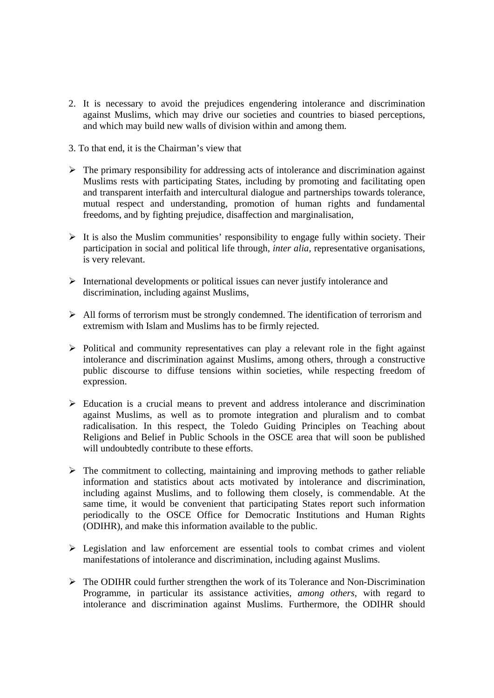- 2. It is necessary to avoid the prejudices engendering intolerance and discrimination against Muslims, which may drive our societies and countries to biased perceptions, and which may build new walls of division within and among them.
- 3. To that end, it is the Chairman's view that
- $\triangleright$  The primary responsibility for addressing acts of intolerance and discrimination against Muslims rests with participating States, including by promoting and facilitating open and transparent interfaith and intercultural dialogue and partnerships towards tolerance, mutual respect and understanding, promotion of human rights and fundamental freedoms, and by fighting prejudice, disaffection and marginalisation,
- $\triangleright$  It is also the Muslim communities' responsibility to engage fully within society. Their participation in social and political life through, *inter alia,* representative organisations, is very relevant.
- $\triangleright$  International developments or political issues can never justify intolerance and discrimination, including against Muslims,
- $\triangleright$  All forms of terrorism must be strongly condemned. The identification of terrorism and extremism with Islam and Muslims has to be firmly rejected.
- $\triangleright$  Political and community representatives can play a relevant role in the fight against intolerance and discrimination against Muslims, among others*,* through a constructive public discourse to diffuse tensions within societies, while respecting freedom of expression.
- $\triangleright$  Education is a crucial means to prevent and address intolerance and discrimination against Muslims, as well as to promote integration and pluralism and to combat radicalisation. In this respect, the Toledo Guiding Principles on Teaching about Religions and Belief in Public Schools in the OSCE area that will soon be published will undoubtedly contribute to these efforts.
- $\triangleright$  The commitment to collecting, maintaining and improving methods to gather reliable information and statistics about acts motivated by intolerance and discrimination, including against Muslims, and to following them closely, is commendable. At the same time, it would be convenient that participating States report such information periodically to the OSCE Office for Democratic Institutions and Human Rights (ODIHR), and make this information available to the public.
- $\triangleright$  Legislation and law enforcement are essential tools to combat crimes and violent manifestations of intolerance and discrimination, including against Muslims.
- $\triangleright$  The ODIHR could further strengthen the work of its Tolerance and Non-Discrimination Programme, in particular its assistance activities, *among others,* with regard to intolerance and discrimination against Muslims. Furthermore, the ODIHR should